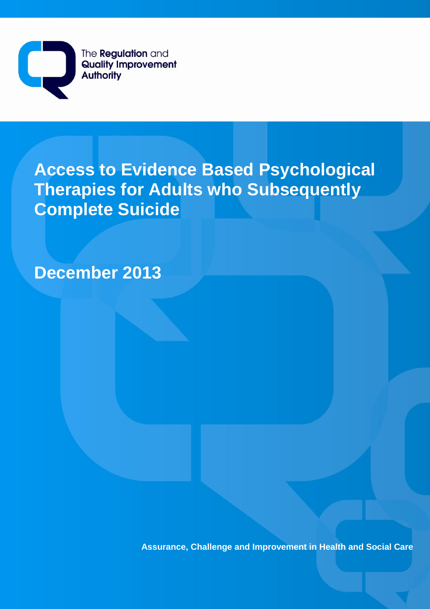The **Regulation** and  $\overline{\mathbf{L}}$ **Quality Improvement Authority** 

# **Access to Evidence Based Psychological Therapies for Adults who Subsequently Complete Suicide**

**December 2013**

**Assurance, Challenge and Improvement in Health and Social Care**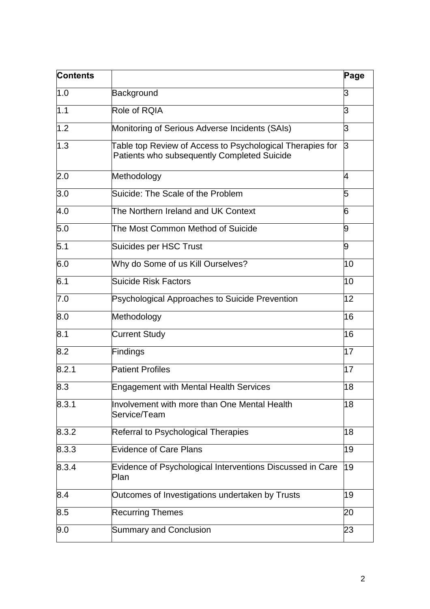| <b>Contents</b> |                                                                                                          | Page |
|-----------------|----------------------------------------------------------------------------------------------------------|------|
| 1.0             | Background                                                                                               | 3    |
| 1.1             | Role of RQIA                                                                                             | З    |
| 1.2             | Monitoring of Serious Adverse Incidents (SAIs)                                                           | З    |
| 1.3             | Table top Review of Access to Psychological Therapies for<br>Patients who subsequently Completed Suicide | 3    |
| 2.0             | Methodology                                                                                              | 4    |
| 3.0             | Suicide: The Scale of the Problem                                                                        | 5    |
| 4.0             | The Northern Ireland and UK Context                                                                      | 6    |
| 5.0             | The Most Common Method of Suicide                                                                        | l9   |
| 5.1             | Suicides per HSC Trust                                                                                   | 9    |
| 6.0             | Why do Some of us Kill Ourselves?                                                                        | 10   |
| 6.1             | Suicide Risk Factors                                                                                     | 10   |
| 7.0             | <b>Psychological Approaches to Suicide Prevention</b>                                                    | 12   |
| 8.0             | Methodology                                                                                              | 16   |
| 8.1             | <b>Current Study</b>                                                                                     | 16   |
| 8.2             | Findings                                                                                                 | 17   |
| 8.2.1           | <b>Patient Profiles</b>                                                                                  | 17   |
| 8.3             | <b>Engagement with Mental Health Services</b>                                                            | 18   |
| 8.3.1           | Involvement with more than One Mental Health<br>Service/Team                                             | 18   |
| 8.3.2           | Referral to Psychological Therapies                                                                      | 18   |
| 8.3.3           | <b>Evidence of Care Plans</b>                                                                            | 19   |
| 8.3.4           | Evidence of Psychological Interventions Discussed in Care<br>Plan                                        | 19   |
| 8.4             | Outcomes of Investigations undertaken by Trusts                                                          | 19   |
| 8.5             | <b>Recurring Themes</b>                                                                                  | 20   |
| 9.0             | <b>Summary and Conclusion</b>                                                                            | 23   |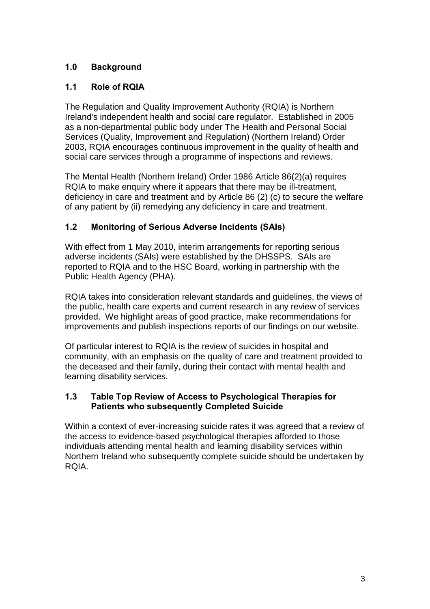# **1.0 Background**

# **1.1 Role of RQIA**

The Regulation and Quality Improvement Authority (RQIA) is Northern Ireland's independent health and social care regulator. Established in 2005 as a non-departmental public body under The Health and Personal Social Services (Quality, Improvement and Regulation) (Northern Ireland) Order 2003, RQIA encourages continuous improvement in the quality of health and social care services through a programme of inspections and reviews.

The Mental Health (Northern Ireland) Order 1986 Article 86(2)(a) requires RQIA to make enquiry where it appears that there may be ill-treatment, deficiency in care and treatment and by Article 86 (2) (c) to secure the welfare of any patient by (ii) remedying any deficiency in care and treatment.

# **1.2 Monitoring of Serious Adverse Incidents (SAIs)**

With effect from 1 May 2010, interim arrangements for reporting serious adverse incidents (SAIs) were established by the DHSSPS. SAIs are reported to RQIA and to the HSC Board, working in partnership with the Public Health Agency (PHA).

RQIA takes into consideration relevant standards and guidelines, the views of the public, health care experts and current research in any review of services provided. We highlight areas of good practice, make recommendations for improvements and publish inspections reports of our findings on our website.

Of particular interest to RQIA is the review of suicides in hospital and community, with an emphasis on the quality of care and treatment provided to the deceased and their family, during their contact with mental health and learning disability services.

## **1.3 Table Top Review of Access to Psychological Therapies for Patients who subsequently Completed Suicide**

Within a context of ever-increasing suicide rates it was agreed that a review of the access to evidence-based psychological therapies afforded to those individuals attending mental health and learning disability services within Northern Ireland who subsequently complete suicide should be undertaken by RQIA.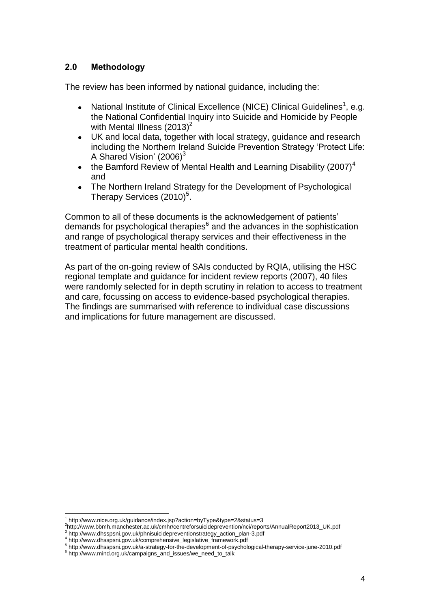## **2.0 Methodology**

The review has been informed by national guidance, including the:

- National Institute of Clinical Excellence (NICE) Clinical Guidelines<sup>1</sup>, e.g.  $\bullet$ the National Confidential Inquiry into Suicide and Homicide by People with Mental Illness  $(2013)^2$
- UK and local data, together with local strategy, guidance and research  $\bullet$ including the Northern Ireland Suicide Prevention Strategy "Protect Life: A Shared Vision'  $(2006)^3$
- the Bamford Review of Mental Health and Learning Disability  $(2007)^4$  $\bullet$ and
- The Northern Ireland Strategy for the Development of Psychological Therapy Services  $(2010)^5$ .

Common to all of these documents is the acknowledgement of patients" demands for psychological therapies<sup>6</sup> and the advances in the sophistication and range of psychological therapy services and their effectiveness in the treatment of particular mental health conditions.

As part of the on-going review of SAIs conducted by RQIA, utilising the HSC regional template and guidance for incident review reports (2007), 40 files were randomly selected for in depth scrutiny in relation to access to treatment and care, focussing on access to evidence-based psychological therapies. The findings are summarised with reference to individual case discussions and implications for future management are discussed.

 $\overline{a}$ <sup>1</sup> http://www.nice.org.uk/guidance/index.jsp?action=byType&type=2&status=3

<sup>2</sup> http://www.bbmh.manchester.ac.uk/cmhr/centreforsuicideprevention/nci/reports/AnnualReport2013\_UK.pdf

<sup>&</sup>lt;sup>3</sup> http://www.dhsspsni.gov.uk/phnisuicidepreventionstrategy\_action\_plan-3.pdf 4 http://www.dhsspsni.gov.uk/comprehensive\_legislative\_framework.pdf

<sup>5</sup> http://www.dhsspsni.gov.uk/a-strategy-for-the-development-of-psychological-therapy-service-june-2010.pdf

<sup>6</sup> http://www.mind.org.uk/campaigns\_and\_issues/we\_need\_to\_talk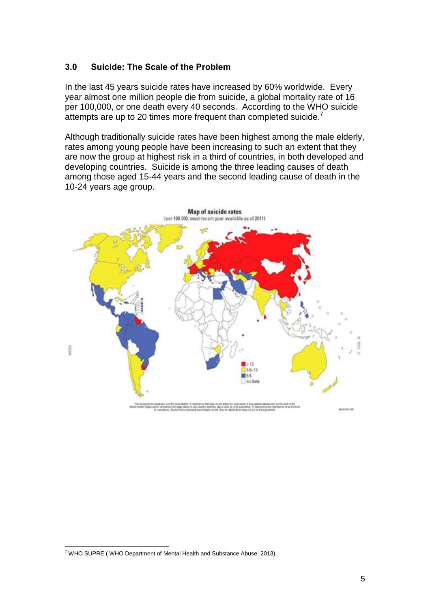## **3.0 Suicide: The Scale of the Problem**

In the last 45 years suicide rates have increased by 60% worldwide. Every year almost one million people die from suicide, a global mortality rate of 16 per 100,000, or one death every 40 seconds. According to the WHO suicide attempts are up to 20 times more frequent than completed suicide.<sup>7</sup>

Although traditionally suicide rates have been highest among the male elderly, rates among young people have been increasing to such an extent that they are now the group at highest risk in a third of countries, in both developed and developing countries. Suicide is among the three leading causes of death among those aged 15-44 years and the second leading cause of death in the 10-24 years age group.



 $\overline{a}$  $7$  WHO SUPRE (WHO Department of Mental Health and Substance Abuse, 2013).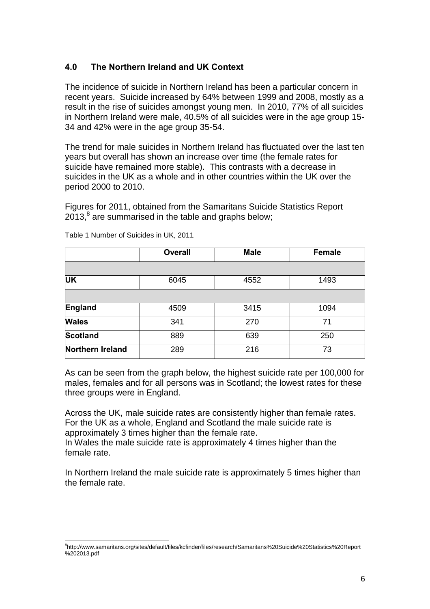# **4.0 The Northern Ireland and UK Context**

The incidence of suicide in Northern Ireland has been a particular concern in recent years. Suicide increased by 64% between 1999 and 2008, mostly as a result in the rise of suicides amongst young men. In 2010, 77% of all suicides in Northern Ireland were male, 40.5% of all suicides were in the age group 15- 34 and 42% were in the age group 35-54.

The trend for male suicides in Northern Ireland has fluctuated over the last ten years but overall has shown an increase over time (the female rates for suicide have remained more stable). This contrasts with a decrease in suicides in the UK as a whole and in other countries within the UK over the period 2000 to 2010.

Figures for 2011, obtained from the Samaritans Suicide Statistics Report 2013, $^8$  are summarised in the table and graphs below;

|                  | <b>Overall</b> | <b>Male</b> | <b>Female</b> |
|------------------|----------------|-------------|---------------|
|                  |                |             |               |
| <b>UK</b>        | 6045           | 4552        | 1493          |
|                  |                |             |               |
| England          | 4509           | 3415        | 1094          |
| <b>Wales</b>     | 341            | 270         | 71            |
| <b>Scotland</b>  | 889            | 639         | 250           |
| Northern Ireland | 289            | 216         | 73            |

Table 1 Number of Suicides in UK, 2011

 $\overline{a}$ 

As can be seen from the graph below, the highest suicide rate per 100,000 for males, females and for all persons was in Scotland; the lowest rates for these three groups were in England.

Across the UK, male suicide rates are consistently higher than female rates. For the UK as a whole, England and Scotland the male suicide rate is approximately 3 times higher than the female rate.

In Wales the male suicide rate is approximately 4 times higher than the female rate.

In Northern Ireland the male suicide rate is approximately 5 times higher than the female rate.

<sup>8</sup> http://www.samaritans.org/sites/default/files/kcfinder/files/research/Samaritans%20Suicide%20Statistics%20Report %202013.pdf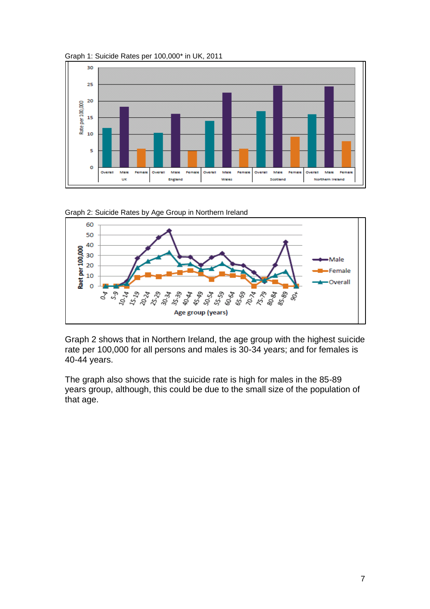







Graph 2 shows that in Northern Ireland, the age group with the highest suicide rate per 100,000 for all persons and males is 30-34 years; and for females is 40-44 years.

The graph also shows that the suicide rate is high for males in the 85-89 years group, although, this could be due to the small size of the population of that age.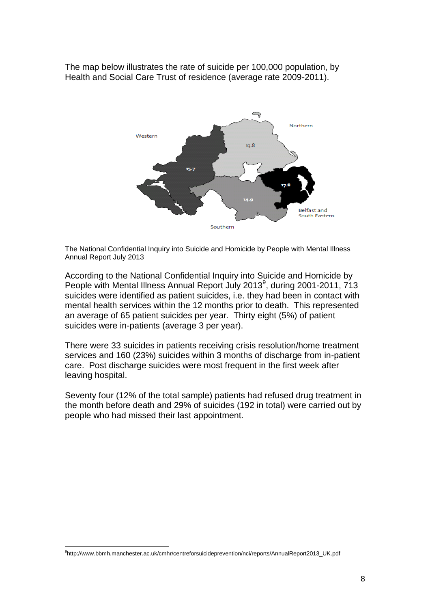The map below illustrates the rate of suicide per 100,000 population, by Health and Social Care Trust of residence (average rate 2009-2011).



The National Confidential Inquiry into Suicide and Homicide by People with Mental Illness Annual Report July 2013

According to the National Confidential Inquiry into Suicide and Homicide by People with Mental Illness Annual Report July 2013<sup>9</sup>, during 2001-2011, 713 suicides were identified as patient suicides, i.e. they had been in contact with mental health services within the 12 months prior to death. This represented an average of 65 patient suicides per year. Thirty eight (5%) of patient suicides were in-patients (average 3 per year).

There were 33 suicides in patients receiving crisis resolution/home treatment services and 160 (23%) suicides within 3 months of discharge from in-patient care. Post discharge suicides were most frequent in the first week after leaving hospital.

Seventy four (12% of the total sample) patients had refused drug treatment in the month before death and 29% of suicides (192 in total) were carried out by people who had missed their last appointment.

 $\overline{a}$ 9 http://www.bbmh.manchester.ac.uk/cmhr/centreforsuicideprevention/nci/reports/AnnualReport2013\_UK.pdf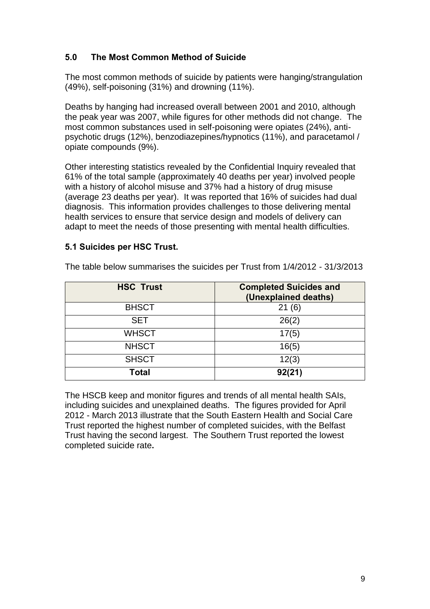# **5.0 The Most Common Method of Suicide**

The most common methods of suicide by patients were hanging/strangulation (49%), self-poisoning (31%) and drowning (11%).

Deaths by hanging had increased overall between 2001 and 2010, although the peak year was 2007, while figures for other methods did not change. The most common substances used in self-poisoning were opiates (24%), antipsychotic drugs (12%), benzodiazepines/hypnotics (11%), and paracetamol / opiate compounds (9%).

Other interesting statistics revealed by the Confidential Inquiry revealed that 61% of the total sample (approximately 40 deaths per year) involved people with a history of alcohol misuse and 37% had a history of drug misuse (average 23 deaths per year). It was reported that 16% of suicides had dual diagnosis. This information provides challenges to those delivering mental health services to ensure that service design and models of delivery can adapt to meet the needs of those presenting with mental health difficulties.

#### **5.1 Suicides per HSC Trust.**

| <b>HSC Trust</b> | <b>Completed Suicides and</b><br>(Unexplained deaths) |
|------------------|-------------------------------------------------------|
| <b>BHSCT</b>     | (6)<br>21                                             |
| <b>SET</b>       | 26(2)                                                 |
| <b>WHSCT</b>     | 17(5)                                                 |
| <b>NHSCT</b>     | 16(5)                                                 |
| <b>SHSCT</b>     | 12(3)                                                 |
| <b>Total</b>     | 92(21)                                                |

The table below summarises the suicides per Trust from 1/4/2012 - 31/3/2013

The HSCB keep and monitor figures and trends of all mental health SAIs, including suicides and unexplained deaths. The figures provided for April 2012 - March 2013 illustrate that the South Eastern Health and Social Care Trust reported the highest number of completed suicides, with the Belfast Trust having the second largest. The Southern Trust reported the lowest completed suicide rate**.**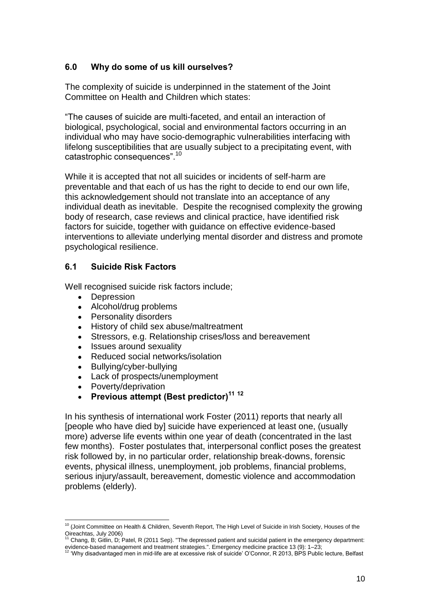# **6.0 Why do some of us kill ourselves?**

The complexity of suicide is underpinned in the statement of the Joint Committee on Health and Children which states:

"The causes of suicide are multi-faceted, and entail an interaction of biological, psychological, social and environmental factors occurring in an individual who may have socio-demographic vulnerabilities interfacing with lifelong susceptibilities that are usually subject to a precipitating event, with catastrophic consequences".<sup>10</sup>

While it is accepted that not all suicides or incidents of self-harm are preventable and that each of us has the right to decide to end our own life, this acknowledgement should not translate into an acceptance of any individual death as inevitable. Despite the recognised complexity the growing body of research, case reviews and clinical practice, have identified risk factors for suicide, together with guidance on effective evidence-based interventions to alleviate underlying mental disorder and distress and promote psychological resilience.

## **6.1 Suicide Risk Factors**

Well recognised suicide risk factors include;

- $\bullet$ Depression
- Alcohol/drug problems
- Personality disorders
- History of child sex abuse/maltreatment
- Stressors, e.g. Relationship crises/loss and bereavement
- Issues around sexuality
- Reduced social networks/isolation
- Bullying/cyber-bullying
- $\bullet$ Lack of prospects/unemployment
- Poverty/deprivation  $\bullet$
- **Previous attempt (Best predictor)<sup>11</sup> <sup>12</sup>**

In his synthesis of international work Foster (2011) reports that nearly all [people who have died by] suicide have experienced at least one, (usually more) adverse life events within one year of death (concentrated in the last few months). Foster postulates that, interpersonal conflict poses the greatest risk followed by, in no particular order, relationship break-downs, forensic events, physical illness, unemployment, job problems, financial problems, serious injury/assault, bereavement, domestic violence and accommodation problems (elderly).

 <sup>10</sup> (Joint Committee on Health & Children, Seventh Report, The High Level of Suicide in Irish Society, Houses of the Oireachtas, July 2006)

<sup>11</sup> Chang, B; Gitlin, D; Patel, R (2011 Sep). "The depressed patient and suicidal patient in the emergency department: evidence-based management and treatment strategies.". Emergency medicine practice 13 (9): 1–23;<br><sup>12</sup> Why disadvantagement and treatment strategies.". Emergency medicine practice 13 (9): 1–23;

<sup>12</sup> "Why disadvantaged men in mid-life are at excessive risk of suicide" O"Connor, R 2013, BPS Public lecture, Belfast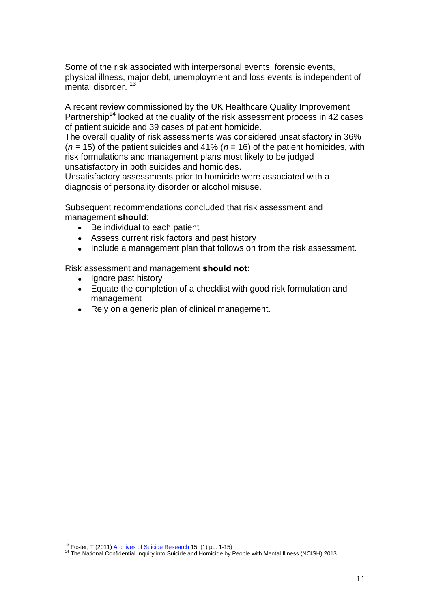Some of the risk associated with interpersonal events, forensic events, physical illness, major debt, unemployment and loss events is independent of mental disorder.<sup>13</sup>

A recent review commissioned by the UK Healthcare Quality Improvement Partnership<sup>14</sup> looked at the quality of the risk assessment process in 42 cases of patient suicide and 39 cases of patient homicide.

The overall quality of risk assessments was considered unsatisfactory in 36% (*n =* 15) of the patient suicides and 41% (*n* = 16) of the patient homicides, with risk formulations and management plans most likely to be judged unsatisfactory in both suicides and homicides.

Unsatisfactory assessments prior to homicide were associated with a diagnosis of personality disorder or alcohol misuse.

Subsequent recommendations concluded that risk assessment and management **should**:

- $\bullet$ Be individual to each patient
- Assess current risk factors and past history  $\bullet$
- Include a management plan that follows on from the risk assessment.  $\bullet$

Risk assessment and management **should not**:

- Ignore past history
- $\bullet$ Equate the completion of a checklist with good risk formulation and management
- Rely on a generic plan of clinical management.

 $\overline{a}$ <sup>13</sup> Foster, T (2011[\) Archives of Suicide Research 1](http://academic.research.microsoft.com/Journal/9523/arch-suicide-res-archives-of-suicide-research)5, (1) pp. 1-15)

<sup>&</sup>lt;sup>14</sup> The National Confidential Inquiry into Suicide and Homicide by People with Mental Illness (NCISH) 2013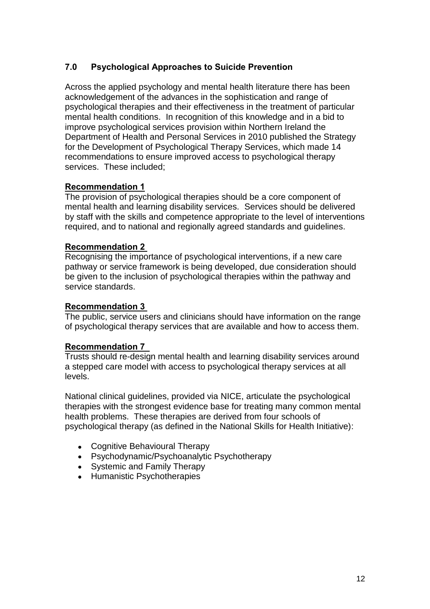# **7.0 Psychological Approaches to Suicide Prevention**

Across the applied psychology and mental health literature there has been acknowledgement of the advances in the sophistication and range of psychological therapies and their effectiveness in the treatment of particular mental health conditions. In recognition of this knowledge and in a bid to improve psychological services provision within Northern Ireland the Department of Health and Personal Services in 2010 published the Strategy for the Development of Psychological Therapy Services, which made 14 recommendations to ensure improved access to psychological therapy services. These included;

# **Recommendation 1**

The provision of psychological therapies should be a core component of mental health and learning disability services. Services should be delivered by staff with the skills and competence appropriate to the level of interventions required, and to national and regionally agreed standards and guidelines.

## **Recommendation 2**

Recognising the importance of psychological interventions, if a new care pathway or service framework is being developed, due consideration should be given to the inclusion of psychological therapies within the pathway and service standards.

#### **Recommendation 3**

The public, service users and clinicians should have information on the range of psychological therapy services that are available and how to access them.

#### **Recommendation 7**

Trusts should re-design mental health and learning disability services around a stepped care model with access to psychological therapy services at all levels.

National clinical guidelines, provided via NICE, articulate the psychological therapies with the strongest evidence base for treating many common mental health problems. These therapies are derived from four schools of psychological therapy (as defined in the National Skills for Health Initiative):

- Cognitive Behavioural Therapy
- Psychodynamic/Psychoanalytic Psychotherapy
- Systemic and Family Therapy
- Humanistic Psychotherapies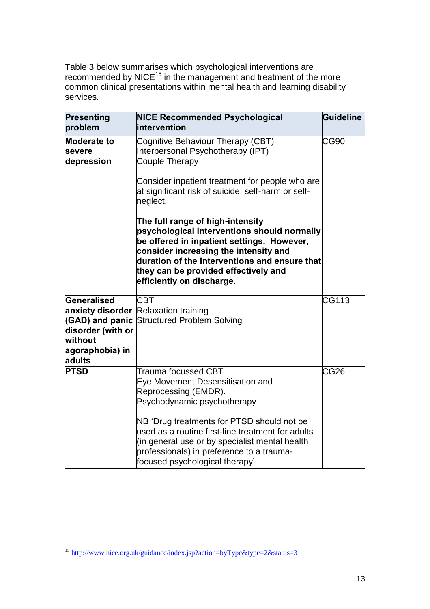Table 3 below summarises which psychological interventions are recommended by NICE<sup>15</sup> in the management and treatment of the more common clinical presentations within mental health and learning disability services.

| <b>Presenting</b><br>problem                                                                | <b>NICE Recommended Psychological</b><br>intervention                                                                                                                                                                                                                                                                                               | Guideline        |
|---------------------------------------------------------------------------------------------|-----------------------------------------------------------------------------------------------------------------------------------------------------------------------------------------------------------------------------------------------------------------------------------------------------------------------------------------------------|------------------|
| <b>Moderate to</b><br><b>severe</b><br>depression                                           | Cognitive Behaviour Therapy (CBT)<br>Interpersonal Psychotherapy (IPT)<br><b>Couple Therapy</b>                                                                                                                                                                                                                                                     | <b>CG90</b>      |
|                                                                                             | Consider inpatient treatment for people who are<br>at significant risk of suicide, self-harm or self-<br>neglect.                                                                                                                                                                                                                                   |                  |
|                                                                                             | The full range of high-intensity<br>psychological interventions should normally<br>be offered in inpatient settings. However,<br>consider increasing the intensity and<br>duration of the interventions and ensure that<br>they can be provided effectively and<br>efficiently on discharge.                                                        |                  |
| Generalised<br>(GAD) and panic<br>disorder (with or<br>without<br>agoraphobia) in<br>adults | <b>CBT</b><br><b>anxiety disorder</b> Relaxation training<br><b>Structured Problem Solving</b>                                                                                                                                                                                                                                                      | CG113            |
| <b>PTSD</b>                                                                                 | Trauma focussed CBT<br>Eye Movement Desensitisation and<br>Reprocessing (EMDR).<br>Psychodynamic psychotherapy<br>NB 'Drug treatments for PTSD should not be<br>used as a routine first-line treatment for adults<br>(in general use or by specialist mental health<br>professionals) in preference to a trauma-<br>focused psychological therapy'. | CG <sub>26</sub> |

 <sup>15</sup> <http://www.nice.org.uk/guidance/index.jsp?action=byType&type=2&status=3>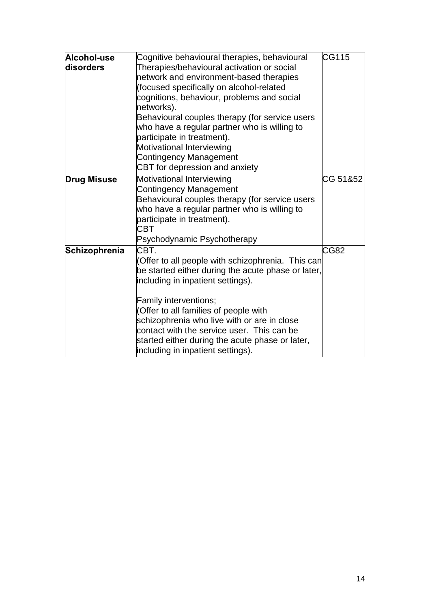| Alcohol-use<br>disorders | Cognitive behavioural therapies, behavioural<br>Therapies/behavioural activation or social<br>network and environment-based therapies<br>(focused specifically on alcohol-related<br>cognitions, behaviour, problems and social<br>networks).<br>Behavioural couples therapy (for service users<br>who have a regular partner who is willing to<br>participate in treatment).<br>Motivational Interviewing<br><b>Contingency Management</b><br>CBT for depression and anxiety | CG115    |
|--------------------------|-------------------------------------------------------------------------------------------------------------------------------------------------------------------------------------------------------------------------------------------------------------------------------------------------------------------------------------------------------------------------------------------------------------------------------------------------------------------------------|----------|
| <b>Drug Misuse</b>       | Motivational Interviewing<br><b>Contingency Management</b><br>Behavioural couples therapy (for service users<br>who have a regular partner who is willing to<br>participate in treatment).<br>CBT<br>Psychodynamic Psychotherapy                                                                                                                                                                                                                                              | CG 51&52 |
| Schizophrenia            | CBT.<br>(Offer to all people with schizophrenia. This can<br>be started either during the acute phase or later,<br>including in inpatient settings).<br>Family interventions;<br>(Offer to all families of people with<br>schizophrenia who live with or are in close<br>contact with the service user. This can be<br>started either during the acute phase or later,<br>including in inpatient settings).                                                                   | CG82     |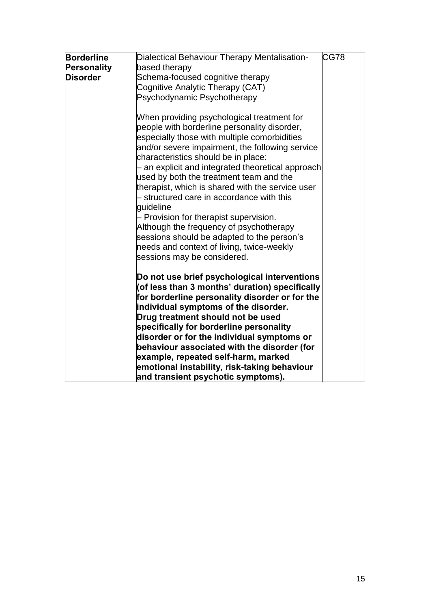| <b>Borderline</b> | Dialectical Behaviour Therapy Mentalisation-                                           | CG78 |
|-------------------|----------------------------------------------------------------------------------------|------|
| Personality       | based therapy                                                                          |      |
| <b>Disorder</b>   | Schema-focused cognitive therapy                                                       |      |
|                   |                                                                                        |      |
|                   | Cognitive Analytic Therapy (CAT)                                                       |      |
|                   | Psychodynamic Psychotherapy                                                            |      |
|                   | When providing psychological treatment for                                             |      |
|                   | people with borderline personality disorder,                                           |      |
|                   | especially those with multiple comorbidities                                           |      |
|                   | and/or severe impairment, the following service<br>characteristics should be in place: |      |
|                   | - an explicit and integrated theoretical approach                                      |      |
|                   | used by both the treatment team and the                                                |      |
|                   | therapist, which is shared with the service user                                       |      |
|                   | - structured care in accordance with this                                              |      |
|                   | guideline                                                                              |      |
|                   | - Provision for therapist supervision.                                                 |      |
|                   | Although the frequency of psychotherapy                                                |      |
|                   | sessions should be adapted to the person's                                             |      |
|                   | needs and context of living, twice-weekly                                              |      |
|                   | sessions may be considered.                                                            |      |
|                   | Do not use brief psychological interventions                                           |      |
|                   | (of less than 3 months' duration) specifically                                         |      |
|                   | for borderline personality disorder or for the                                         |      |
|                   | individual symptoms of the disorder.                                                   |      |
|                   | Drug treatment should not be used                                                      |      |
|                   | specifically for borderline personality                                                |      |
|                   | disorder or for the individual symptoms or                                             |      |
|                   | behaviour associated with the disorder (for                                            |      |
|                   | example, repeated self-harm, marked                                                    |      |
|                   | emotional instability, risk-taking behaviour                                           |      |
|                   | and transient psychotic symptoms).                                                     |      |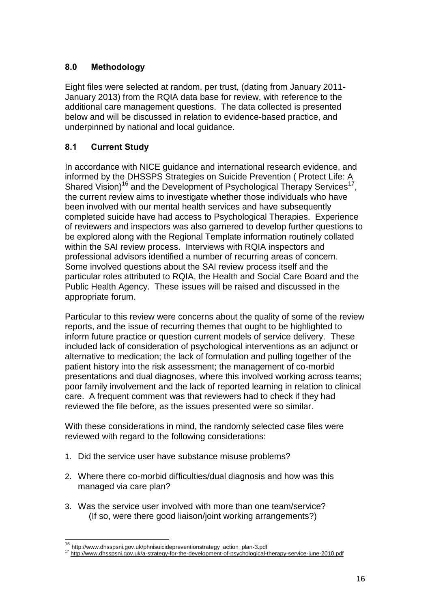# **8.0 Methodology**

Eight files were selected at random, per trust, (dating from January 2011- January 2013) from the RQIA data base for review, with reference to the additional care management questions. The data collected is presented below and will be discussed in relation to evidence-based practice, and underpinned by national and local guidance.

# **8.1 Current Study**

In accordance with NICE guidance and international research evidence, and informed by the DHSSPS Strategies on Suicide Prevention ( Protect Life: A Shared Vision)<sup>16</sup> and the Development of Psychological Therapy Services<sup>17</sup>, the current review aims to investigate whether those individuals who have been involved with our mental health services and have subsequently completed suicide have had access to Psychological Therapies. Experience of reviewers and inspectors was also garnered to develop further questions to be explored along with the Regional Template information routinely collated within the SAI review process. Interviews with RQIA inspectors and professional advisors identified a number of recurring areas of concern. Some involved questions about the SAI review process itself and the particular roles attributed to RQIA, the Health and Social Care Board and the Public Health Agency. These issues will be raised and discussed in the appropriate forum.

Particular to this review were concerns about the quality of some of the review reports, and the issue of recurring themes that ought to be highlighted to inform future practice or question current models of service delivery. These included lack of consideration of psychological interventions as an adjunct or alternative to medication; the lack of formulation and pulling together of the patient history into the risk assessment; the management of co-morbid presentations and dual diagnoses, where this involved working across teams; poor family involvement and the lack of reported learning in relation to clinical care. A frequent comment was that reviewers had to check if they had reviewed the file before, as the issues presented were so similar.

With these considerations in mind, the randomly selected case files were reviewed with regard to the following considerations:

- 1. Did the service user have substance misuse problems?
- 2. Where there co-morbid difficulties/dual diagnosis and how was this managed via care plan?
- 3. Was the service user involved with more than one team/service? (If so, were there good liaison/joint working arrangements?)

 $\overline{a}$ 

<sup>&</sup>lt;sup>16</sup> [http://www.dhsspsni.gov.uk/phnisuicidepreventionstrategy\\_action\\_plan-3.pdf](http://www.dhsspsni.gov.uk/phnisuicidepreventionstrategy_action_plan-3.pdf)

<sup>&</sup>lt;sup>17</sup> <http://www.dhsspsni.gov.uk/a-strategy-for-the-development-of-psychological-therapy-service-june-2010.pdf>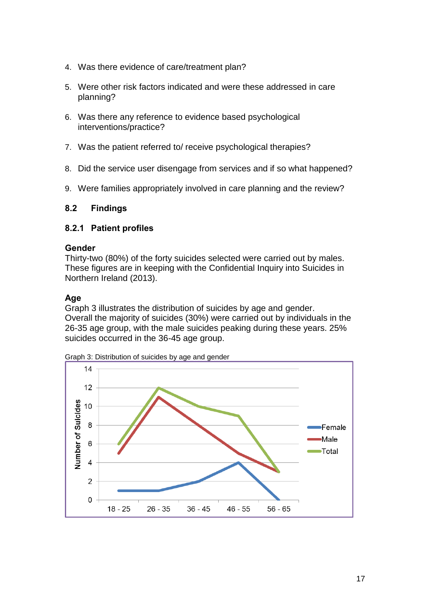- 4. Was there evidence of care/treatment plan?
- 5. Were other risk factors indicated and were these addressed in care planning?
- 6. Was there any reference to evidence based psychological interventions/practice?
- 7. Was the patient referred to/ receive psychological therapies?
- 8. Did the service user disengage from services and if so what happened?
- 9. Were families appropriately involved in care planning and the review?

## **8.2 Findings**

#### **8.2.1 Patient profiles**

#### **Gender**

Thirty-two (80%) of the forty suicides selected were carried out by males. These figures are in keeping with the Confidential Inquiry into Suicides in Northern Ireland (2013).

#### **Age**

Graph 3 illustrates the distribution of suicides by age and gender. Overall the majority of suicides (30%) were carried out by individuals in the 26-35 age group, with the male suicides peaking during these years. 25% suicides occurred in the 36-45 age group.

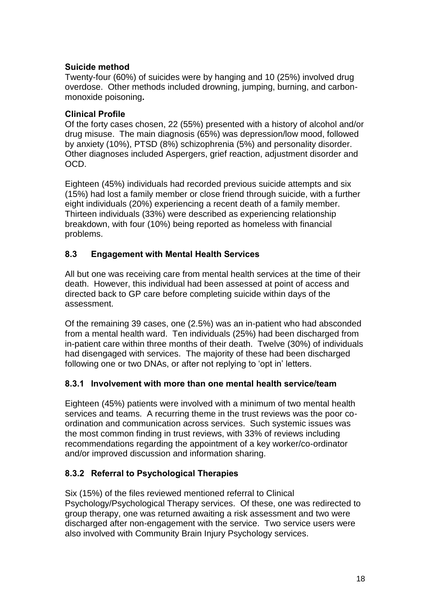# **Suicide method**

Twenty-four (60%) of suicides were by hanging and 10 (25%) involved drug overdose. Other methods included drowning, jumping, burning, and carbonmonoxide poisoning**.**

# **Clinical Profile**

Of the forty cases chosen, 22 (55%) presented with a history of alcohol and/or drug misuse. The main diagnosis (65%) was depression/low mood, followed by anxiety (10%), PTSD (8%) schizophrenia (5%) and personality disorder. Other diagnoses included Aspergers, grief reaction, adjustment disorder and OCD.

Eighteen (45%) individuals had recorded previous suicide attempts and six (15%) had lost a family member or close friend through suicide, with a further eight individuals (20%) experiencing a recent death of a family member. Thirteen individuals (33%) were described as experiencing relationship breakdown, with four (10%) being reported as homeless with financial problems.

# **8.3 Engagement with Mental Health Services**

All but one was receiving care from mental health services at the time of their death. However, this individual had been assessed at point of access and directed back to GP care before completing suicide within days of the assessment.

Of the remaining 39 cases, one (2.5%) was an in-patient who had absconded from a mental health ward. Ten individuals (25%) had been discharged from in-patient care within three months of their death. Twelve (30%) of individuals had disengaged with services. The majority of these had been discharged following one or two DNAs, or after not replying to 'opt in' letters.

# **8.3.1 Involvement with more than one mental health service/team**

Eighteen (45%) patients were involved with a minimum of two mental health services and teams. A recurring theme in the trust reviews was the poor coordination and communication across services. Such systemic issues was the most common finding in trust reviews, with 33% of reviews including recommendations regarding the appointment of a key worker/co-ordinator and/or improved discussion and information sharing.

# **8.3.2 Referral to Psychological Therapies**

Six (15%) of the files reviewed mentioned referral to Clinical Psychology/Psychological Therapy services. Of these, one was redirected to group therapy, one was returned awaiting a risk assessment and two were discharged after non-engagement with the service. Two service users were also involved with Community Brain Injury Psychology services.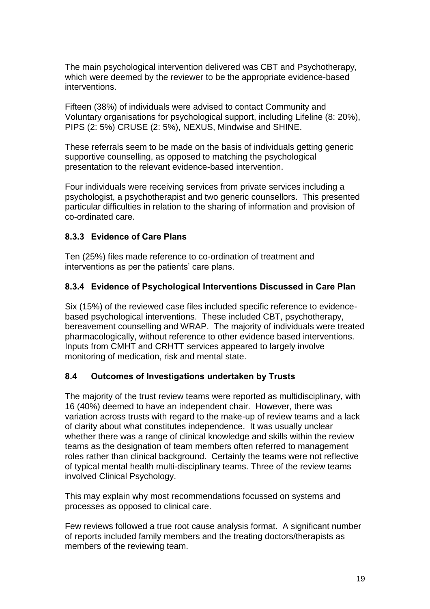The main psychological intervention delivered was CBT and Psychotherapy, which were deemed by the reviewer to be the appropriate evidence-based interventions.

Fifteen (38%) of individuals were advised to contact Community and Voluntary organisations for psychological support, including Lifeline (8: 20%), PIPS (2: 5%) CRUSE (2: 5%), NEXUS, Mindwise and SHINE.

These referrals seem to be made on the basis of individuals getting generic supportive counselling, as opposed to matching the psychological presentation to the relevant evidence-based intervention.

Four individuals were receiving services from private services including a psychologist, a psychotherapist and two generic counsellors. This presented particular difficulties in relation to the sharing of information and provision of co-ordinated care.

# **8.3.3 Evidence of Care Plans**

Ten (25%) files made reference to co-ordination of treatment and interventions as per the patients' care plans.

# **8.3.4 Evidence of Psychological Interventions Discussed in Care Plan**

Six (15%) of the reviewed case files included specific reference to evidencebased psychological interventions. These included CBT, psychotherapy, bereavement counselling and WRAP. The majority of individuals were treated pharmacologically, without reference to other evidence based interventions. Inputs from CMHT and CRHTT services appeared to largely involve monitoring of medication, risk and mental state.

# **8.4 Outcomes of Investigations undertaken by Trusts**

The majority of the trust review teams were reported as multidisciplinary, with 16 (40%) deemed to have an independent chair. However, there was variation across trusts with regard to the make-up of review teams and a lack of clarity about what constitutes independence. It was usually unclear whether there was a range of clinical knowledge and skills within the review teams as the designation of team members often referred to management roles rather than clinical background. Certainly the teams were not reflective of typical mental health multi-disciplinary teams. Three of the review teams involved Clinical Psychology.

This may explain why most recommendations focussed on systems and processes as opposed to clinical care.

Few reviews followed a true root cause analysis format. A significant number of reports included family members and the treating doctors/therapists as members of the reviewing team.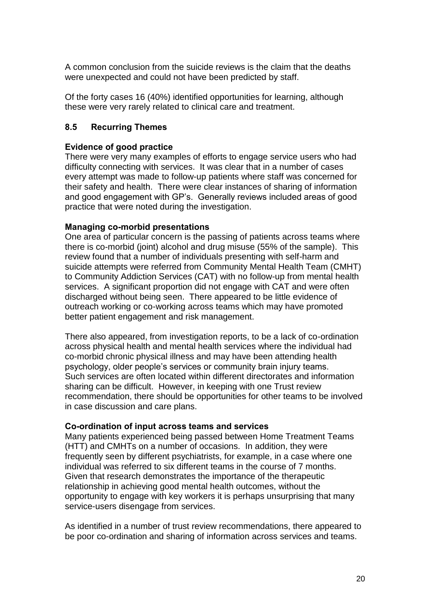A common conclusion from the suicide reviews is the claim that the deaths were unexpected and could not have been predicted by staff.

Of the forty cases 16 (40%) identified opportunities for learning, although these were very rarely related to clinical care and treatment.

## **8.5 Recurring Themes**

#### **Evidence of good practice**

There were very many examples of efforts to engage service users who had difficulty connecting with services. It was clear that in a number of cases every attempt was made to follow-up patients where staff was concerned for their safety and health. There were clear instances of sharing of information and good engagement with GP"s. Generally reviews included areas of good practice that were noted during the investigation.

#### **Managing co-morbid presentations**

One area of particular concern is the passing of patients across teams where there is co-morbid (joint) alcohol and drug misuse (55% of the sample). This review found that a number of individuals presenting with self-harm and suicide attempts were referred from Community Mental Health Team (CMHT) to Community Addiction Services (CAT) with no follow-up from mental health services. A significant proportion did not engage with CAT and were often discharged without being seen. There appeared to be little evidence of outreach working or co-working across teams which may have promoted better patient engagement and risk management.

There also appeared, from investigation reports, to be a lack of co-ordination across physical health and mental health services where the individual had co-morbid chronic physical illness and may have been attending health psychology, older people"s services or community brain injury teams. Such services are often located within different directorates and information sharing can be difficult. However, in keeping with one Trust review recommendation, there should be opportunities for other teams to be involved in case discussion and care plans.

#### **Co-ordination of input across teams and services**

Many patients experienced being passed between Home Treatment Teams (HTT) and CMHTs on a number of occasions. In addition, they were frequently seen by different psychiatrists, for example, in a case where one individual was referred to six different teams in the course of 7 months. Given that research demonstrates the importance of the therapeutic relationship in achieving good mental health outcomes, without the opportunity to engage with key workers it is perhaps unsurprising that many service-users disengage from services.

As identified in a number of trust review recommendations, there appeared to be poor co-ordination and sharing of information across services and teams.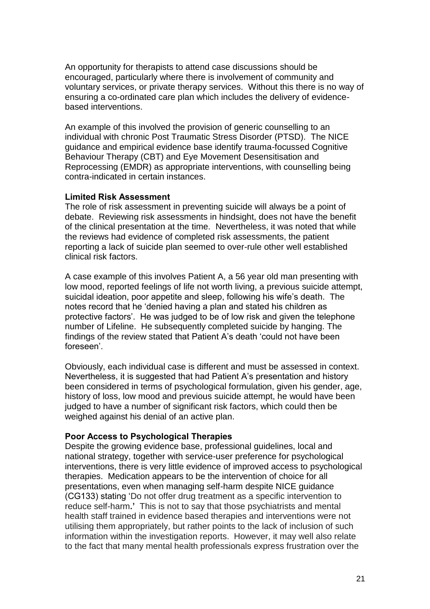An opportunity for therapists to attend case discussions should be encouraged, particularly where there is involvement of community and voluntary services, or private therapy services. Without this there is no way of ensuring a co-ordinated care plan which includes the delivery of evidencebased interventions.

An example of this involved the provision of generic counselling to an individual with chronic Post Traumatic Stress Disorder (PTSD). The NICE guidance and empirical evidence base identify trauma-focussed Cognitive Behaviour Therapy (CBT) and Eye Movement Desensitisation and Reprocessing (EMDR) as appropriate interventions, with counselling being contra-indicated in certain instances.

#### **Limited Risk Assessment**

The role of risk assessment in preventing suicide will always be a point of debate. Reviewing risk assessments in hindsight, does not have the benefit of the clinical presentation at the time. Nevertheless, it was noted that while the reviews had evidence of completed risk assessments, the patient reporting a lack of suicide plan seemed to over-rule other well established clinical risk factors.

A case example of this involves Patient A, a 56 year old man presenting with low mood, reported feelings of life not worth living, a previous suicide attempt, suicidal ideation, poor appetite and sleep, following his wife's death. The notes record that he "denied having a plan and stated his children as protective factors". He was judged to be of low risk and given the telephone number of Lifeline. He subsequently completed suicide by hanging. The findings of the review stated that Patient A"s death "could not have been foreseen'.

Obviously, each individual case is different and must be assessed in context. Nevertheless, it is suggested that had Patient A"s presentation and history been considered in terms of psychological formulation, given his gender, age, history of loss, low mood and previous suicide attempt, he would have been judged to have a number of significant risk factors, which could then be weighed against his denial of an active plan.

#### **Poor Access to Psychological Therapies**

Despite the growing evidence base, professional guidelines, local and national strategy, together with service-user preference for psychological interventions, there is very little evidence of improved access to psychological therapies. Medication appears to be the intervention of choice for all presentations, even when managing self-harm despite NICE guidance (CG133) stating "Do not offer drug treatment as a specific intervention to reduce self-harm**.'** This is not to say that those psychiatrists and mental health staff trained in evidence based therapies and interventions were not utilising them appropriately, but rather points to the lack of inclusion of such information within the investigation reports. However, it may well also relate to the fact that many mental health professionals express frustration over the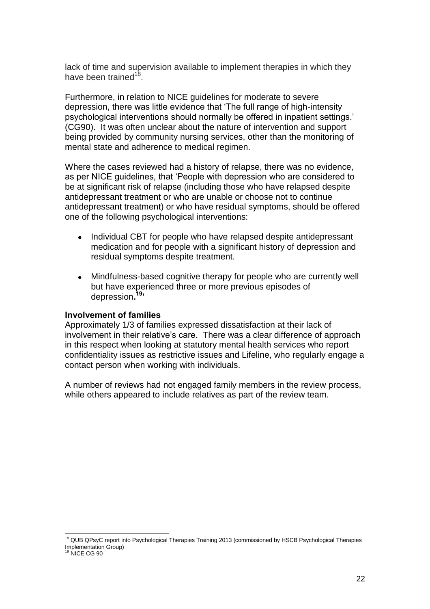lack of time and supervision available to implement therapies in which they have been trained<sup>18</sup>.

Furthermore, in relation to NICE guidelines for moderate to severe depression, there was little evidence that "The full range of high-intensity psychological interventions should normally be offered in inpatient settings." (CG90). It was often unclear about the nature of intervention and support being provided by community nursing services, other than the monitoring of mental state and adherence to medical regimen.

Where the cases reviewed had a history of relapse, there was no evidence, as per NICE guidelines, that "People with depression who are considered to be at significant risk of relapse (including those who have relapsed despite antidepressant treatment or who are unable or choose not to continue antidepressant treatment) or who have residual symptoms, should be offered one of the following psychological interventions:

- Individual CBT for people who have relapsed despite antidepressant  $\bullet$ medication and for people with a significant history of depression and residual symptoms despite treatment.
- Mindfulness-based cognitive therapy for people who are currently well  $\bullet$ but have experienced three or more previous episodes of depression**. 19'**

#### **Involvement of families**

Approximately 1/3 of families expressed dissatisfaction at their lack of involvement in their relative's care. There was a clear difference of approach in this respect when looking at statutory mental health services who report confidentiality issues as restrictive issues and Lifeline, who regularly engage a contact person when working with individuals.

A number of reviews had not engaged family members in the review process, while others appeared to include relatives as part of the review team.

<sup>&</sup>lt;sup>18</sup> QUB QPsyC report into Psychological Therapies Training 2013 (commissioned by HSCB Psychological Therapies Implementation Group)

<sup>&</sup>lt;sup>9</sup> NICE CG 90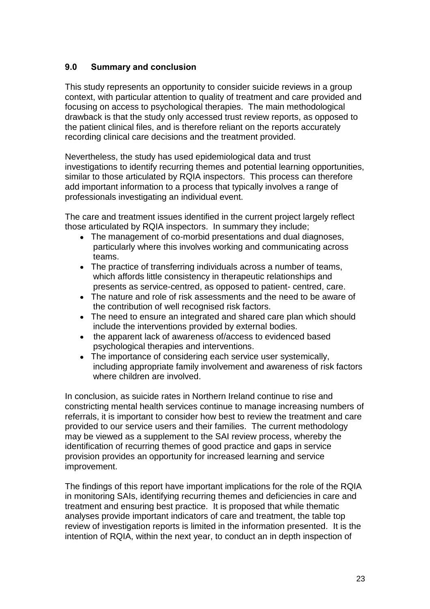## **9.0 Summary and conclusion**

This study represents an opportunity to consider suicide reviews in a group context, with particular attention to quality of treatment and care provided and focusing on access to psychological therapies. The main methodological drawback is that the study only accessed trust review reports, as opposed to the patient clinical files, and is therefore reliant on the reports accurately recording clinical care decisions and the treatment provided.

Nevertheless, the study has used epidemiological data and trust investigations to identify recurring themes and potential learning opportunities, similar to those articulated by RQIA inspectors. This process can therefore add important information to a process that typically involves a range of professionals investigating an individual event.

The care and treatment issues identified in the current project largely reflect those articulated by RQIA inspectors. In summary they include;

- The management of co-morbid presentations and dual diagnoses, particularly where this involves working and communicating across teams.
- The practice of transferring individuals across a number of teams, which affords little consistency in therapeutic relationships and presents as service-centred, as opposed to patient- centred, care.
- The nature and role of risk assessments and the need to be aware of the contribution of well recognised risk factors.
- The need to ensure an integrated and shared care plan which should include the interventions provided by external bodies.
- the apparent lack of awareness of/access to evidenced based psychological therapies and interventions.
- The importance of considering each service user systemically, including appropriate family involvement and awareness of risk factors where children are involved.

In conclusion, as suicide rates in Northern Ireland continue to rise and constricting mental health services continue to manage increasing numbers of referrals, it is important to consider how best to review the treatment and care provided to our service users and their families. The current methodology may be viewed as a supplement to the SAI review process, whereby the identification of recurring themes of good practice and gaps in service provision provides an opportunity for increased learning and service improvement.

The findings of this report have important implications for the role of the RQIA in monitoring SAIs, identifying recurring themes and deficiencies in care and treatment and ensuring best practice. It is proposed that while thematic analyses provide important indicators of care and treatment, the table top review of investigation reports is limited in the information presented. It is the intention of RQIA, within the next year, to conduct an in depth inspection of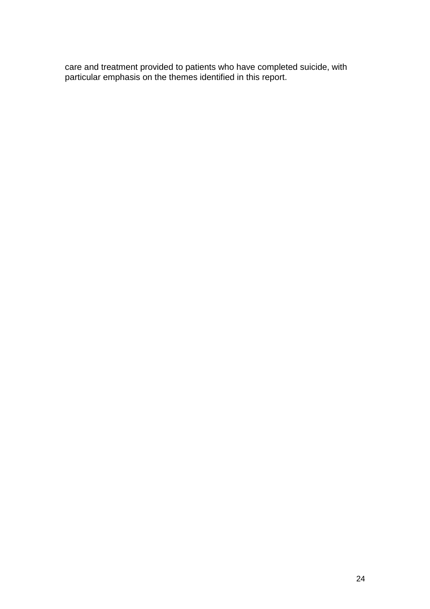care and treatment provided to patients who have completed suicide, with particular emphasis on the themes identified in this report.